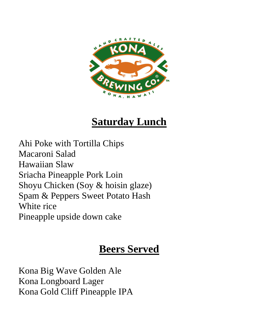

# **Saturday Lunch**

Ahi Poke with Tortilla Chips Macaroni Salad Hawaiian Slaw Sriacha Pineapple Pork Loin Shoyu Chicken (Soy & hoisin glaze) Spam & Peppers Sweet Potato Hash White rice Pineapple upside down cake

# **Beers Served**

Kona Big Wave Golden Ale Kona Longboard Lager Kona Gold Cliff Pineapple IPA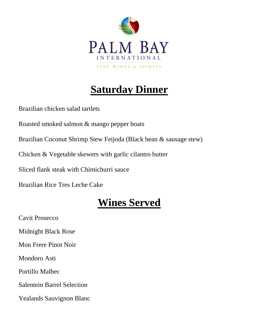

# **Saturday Dinner**

Brazilian chicken salad tartlets

Roasted smoked salmon & mango pepper boats

Brazilian Coconut Shrimp Stew Feijoda (Black bean & sausage stew)

Chicken & Vegetable skewers with garlic cilantro butter

Sliced flank steak with Chimichurri sauce

Brazilian Rice Tres Leche Cake

# **Wines Served**

Cavit Prosecco Midnight Black Rose Mon Frere Pinot Noir Mondoro Asti Portillo Malbec Salentein Barrel Selection Yealands Sauvignon Blanc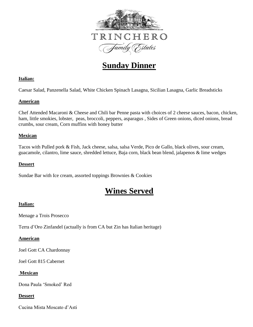

### **Sunday Dinner**

### **Italian:**

Caesar Salad, Panzenella Salad, White Chicken Spinach Lasagna, Sicilian Lasagna, Garlic Breadsticks

### **American**

Chef Attended Macaroni & Cheese and Chili bar Penne pasta with choices of 2 cheese sauces, bacon, chicken, ham, little smokies, lobster, peas, broccoli, peppers, asparagus , Sides of Green onions, diced onions, bread crumbs, sour cream, Corn muffins with honey butter

### **Mexican**

Tacos with Pulled pork & Fish, Jack cheese, salsa, salsa Verde, Pico de Gallo, black olives, sour cream, guacamole, cilantro, lime sauce, shredded lettuce, Baja corn, black bean blend, jalapenos & lime wedges

#### **Dessert**

Sundae Bar with Ice cream, assorted toppings Brownies & Cookies

### **Wines Served**

### **Italian:**

Menage a Trois Prosecco

Terra d'Oro Zinfandel (actually is from CA but Zin has Italian heritage)

### **American**

Joel Gott CA Chardonnay

Joel Gott 815 Cabernet

### **Mexican**

Dona Paula 'Smoked' Red

### **Dessert**

Cucina Mista Moscato d'Asti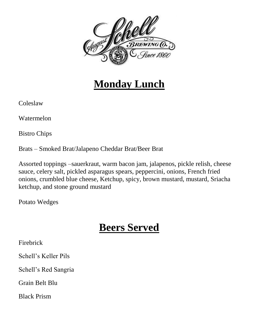

## **Monday Lunch**

Coleslaw

Watermelon

Bistro Chips

Brats – Smoked Brat/Jalapeno Cheddar Brat/Beer Brat

Assorted toppings –sauerkraut, warm bacon jam, jalapenos, pickle relish, cheese sauce, celery salt, pickled asparagus spears, peppercini, onions, French fried onions, crumbled blue cheese, Ketchup, spicy, brown mustard, mustard, Sriacha ketchup, and stone ground mustard

Potato Wedges

# **Beers Served**

Firebrick

Schell's Keller Pils

Schell's Red Sangria

Grain Belt Blu

Black Prism